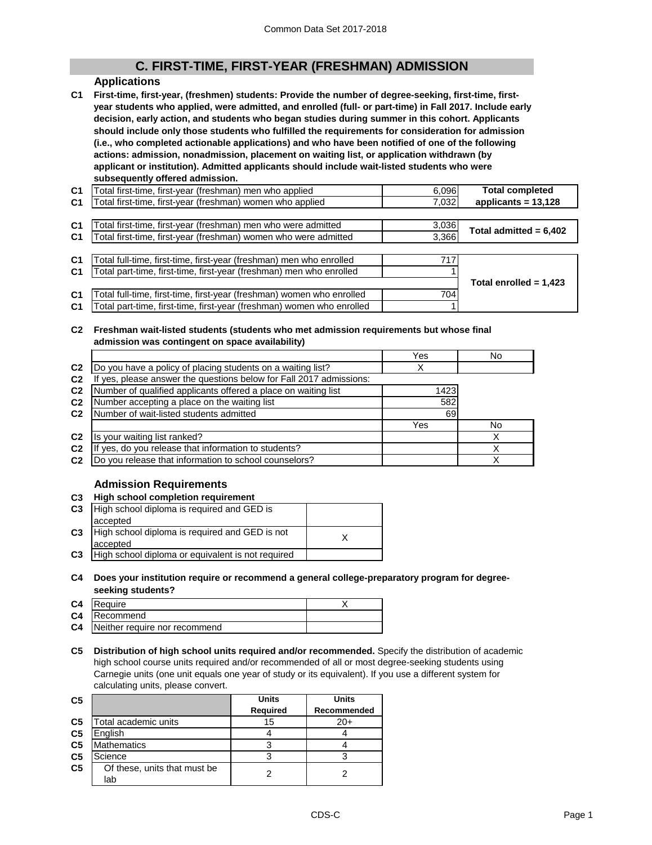# **C. FIRST-TIME, FIRST-YEAR (FRESHMAN) ADMISSION**

## **Applications**

**C1 First-time, first-year, (freshmen) students: Provide the number of degree-seeking, first-time, firstyear students who applied, were admitted, and enrolled (full- or part-time) in Fall 2017. Include early decision, early action, and students who began studies during summer in this cohort. Applicants should include only those students who fulfilled the requirements for consideration for admission (i.e., who completed actionable applications) and who have been notified of one of the following actions: admission, nonadmission, placement on waiting list, or application withdrawn (by applicant or institution). Admitted applicants should include wait-listed students who were subsequently offered admission.**

| C <sub>1</sub> | Total first-time, first-year (freshman) men who applied   | 6,096 | <b>Total completed</b> |
|----------------|-----------------------------------------------------------|-------|------------------------|
| C <sub>1</sub> | Total first-time, first-year (freshman) women who applied | 7,032 | applicants = $13,128$  |
|                |                                                           |       |                        |

| 3.366<br>C1   Total first-time, first-year (freshman) women who were admitted | Total admitted = $6,402$ |
|-------------------------------------------------------------------------------|--------------------------|

| C <sub>1</sub> | Total full-time, first-time, first-year (freshman) men who enrolled   | 717 |                          |
|----------------|-----------------------------------------------------------------------|-----|--------------------------|
| C <sub>1</sub> | Total part-time, first-time, first-year (freshman) men who enrolled   |     |                          |
|                |                                                                       |     | Total enrolled = $1,423$ |
| C <sub>1</sub> | Total full-time, first-time, first-year (freshman) women who enrolled | 704 |                          |
| C <sub>1</sub> | Total part-time, first-time, first-year (freshman) women who enrolled |     |                          |

#### **C2 Freshman wait-listed students (students who met admission requirements but whose final admission was contingent on space availability)**

|                |                                                                  | Yes  | No |
|----------------|------------------------------------------------------------------|------|----|
| C <sub>2</sub> | Do you have a policy of placing students on a waiting list?      | Х    |    |
| C <sub>2</sub> | yes, please answer the questions below for Fall 2017 admissions: |      |    |
| C <sub>2</sub> | Number of qualified applicants offered a place on waiting list   | 1423 |    |
| C <sub>2</sub> | Number accepting a place on the waiting list                     | 582  |    |
| C <sub>2</sub> | Number of wait-listed students admitted                          | 69   |    |
|                |                                                                  | Yes  | No |
| C <sub>2</sub> | Is your waiting list ranked?                                     |      |    |
| C <sub>2</sub> | yes, do you release that information to students?                |      |    |
| C <sub>2</sub> | Do you release that information to school counselors?            |      |    |

## **Admission Requirements**

## **C3 High school completion requirement**

| High school diploma is required and GED is        |  |
|---------------------------------------------------|--|
| accepted                                          |  |
| High school diploma is required and GED is not    |  |
| accepted                                          |  |
| High school diploma or equivalent is not required |  |
|                                                   |  |

**C4 Does your institution require or recommend a general college-preparatory program for degreeseeking students?**

| C <sub>4</sub> | <b>IRequire</b>               |  |
|----------------|-------------------------------|--|
|                | C4 Recommend                  |  |
| C4             | Neither require nor recommend |  |

**C5 Distribution of high school units required and/or recommended.** Specify the distribution of academic high school course units required and/or recommended of all or most degree-seeking students using Carnegie units (one unit equals one year of study or its equivalent). If you use a different system for calculating units, please convert.

| C <sub>5</sub> |                                     | <b>Units</b>    | <b>Units</b> |
|----------------|-------------------------------------|-----------------|--------------|
|                |                                     | <b>Required</b> | Recommended  |
| C <sub>5</sub> | Total academic units                | 15              | $20+$        |
| C <sub>5</sub> | English                             |                 |              |
| C <sub>5</sub> | <b>Mathematics</b>                  |                 |              |
| C <sub>5</sub> | Science                             |                 |              |
| C <sub>5</sub> | Of these, units that must be<br>lab |                 |              |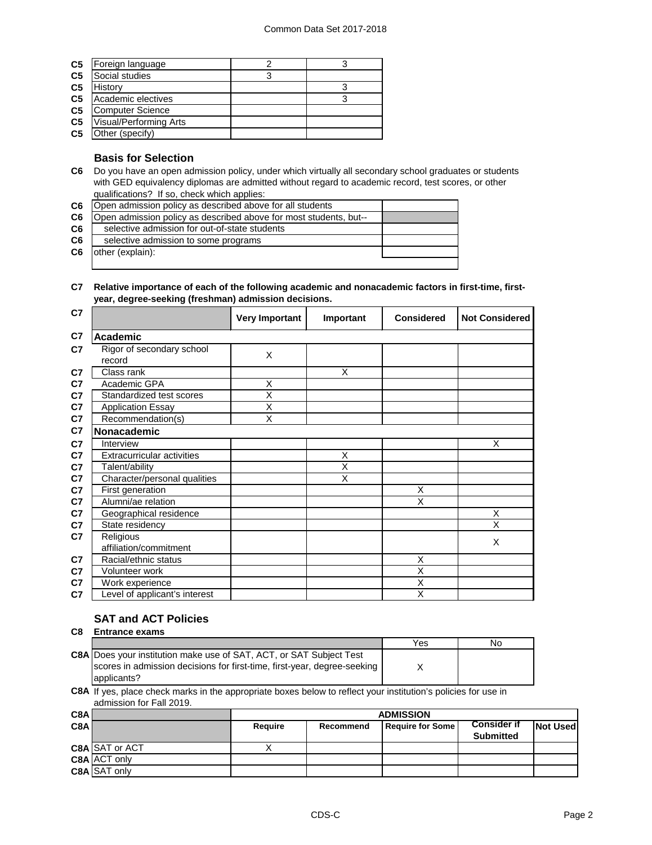| C <sub>5</sub> | Foreign language        | З |
|----------------|-------------------------|---|
| C <sub>5</sub> | Social studies          |   |
| C <sub>5</sub> | History                 |   |
| C <sub>5</sub> | Academic electives      | 3 |
| C <sub>5</sub> | <b>Computer Science</b> |   |
| C <sub>5</sub> | Visual/Performing Arts  |   |
| C <sub>5</sub> | Other (specify)         |   |

### **Basis for Selection**

**C6** Do you have an open admission policy, under which virtually all secondary school graduates or students with GED equivalency diplomas are admitted without regard to academic record, test scores, or other qualifications? If so, check which applies:

| C <sub>6</sub> | Open admission policy as described above for all students         |  |
|----------------|-------------------------------------------------------------------|--|
| C6             | Open admission policy as described above for most students, but-- |  |
| C6             | selective admission for out-of-state students                     |  |
| C6             | selective admission to some programs                              |  |
| C6             | other (explain):                                                  |  |
|                |                                                                   |  |

#### **C7 Relative importance of each of the following academic and nonacademic factors in first-time, firstyear, degree-seeking (freshman) admission decisions.**

| C <sub>7</sub> |                                     | <b>Very Important</b>   | Important      | <b>Considered</b> | <b>Not Considered</b> |
|----------------|-------------------------------------|-------------------------|----------------|-------------------|-----------------------|
| C <sub>7</sub> | Academic                            |                         |                |                   |                       |
| C <sub>7</sub> | Rigor of secondary school<br>record | X                       |                |                   |                       |
| C <sub>7</sub> | Class rank                          |                         | X              |                   |                       |
| C <sub>7</sub> | Academic GPA                        | X                       |                |                   |                       |
| C7             | Standardized test scores            | $\overline{\mathsf{x}}$ |                |                   |                       |
| C7             | <b>Application Essay</b>            | X                       |                |                   |                       |
| C <sub>7</sub> | Recommendation(s)                   | X                       |                |                   |                       |
| C7             | Nonacademic                         |                         |                |                   |                       |
| C <sub>7</sub> | Interview                           |                         |                |                   | X                     |
| C7             | <b>Extracurricular activities</b>   |                         | X              |                   |                       |
| C7             | Talent/ability                      |                         | $\overline{X}$ |                   |                       |
| C7             | Character/personal qualities        |                         | X              |                   |                       |
| C7             | First generation                    |                         |                | X                 |                       |
| C7             | Alumni/ae relation                  |                         |                | X                 |                       |
| C7             | Geographical residence              |                         |                |                   | X                     |
| C7             | State residency                     |                         |                |                   | X                     |
| C7             | Religious                           |                         |                |                   | X                     |
|                | affiliation/commitment              |                         |                |                   |                       |
| C7             | Racial/ethnic status                |                         |                | X                 |                       |
| C7             | Volunteer work                      |                         |                | X                 |                       |
| C7             | Work experience                     |                         |                | X                 |                       |
| C7             | Level of applicant's interest       |                         |                | X                 |                       |

## **SAT and ACT Policies**

| C <sub>8</sub> | <b>Entrance exams</b> |  |
|----------------|-----------------------|--|
|                |                       |  |

|                                                                            | Yes | No |
|----------------------------------------------------------------------------|-----|----|
| <b>C8A</b> Does your institution make use of SAT, ACT, or SAT Subject Test |     |    |
| scores in admission decisions for first-time, first-year, degree-seeking   |     |    |
| applicants?                                                                |     |    |

**C8A** If yes, place check marks in the appropriate boxes below to reflect your institution's policies for use in admission for Fall 2019.

| C8A |                       | <b>ADMISSION</b> |           |                  |                                        |                 |
|-----|-----------------------|------------------|-----------|------------------|----------------------------------------|-----------------|
| C8A |                       | Require          | Recommend | Require for Some | <b>Consider if</b><br><b>Submitted</b> | <b>Not Used</b> |
|     | <b>C8A SAT or ACT</b> |                  |           |                  |                                        |                 |
|     | C8A ACT only          |                  |           |                  |                                        |                 |
|     | <b>C8A SAT only</b>   |                  |           |                  |                                        |                 |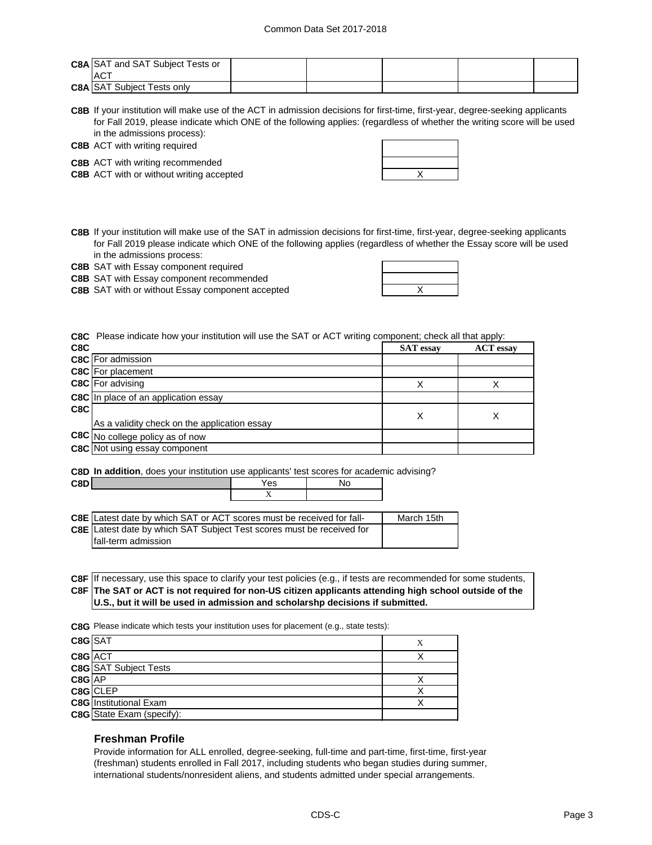| <b>C8A SAT and SAT Subject Tests or</b><br><b>ACT</b> |  |  |  |
|-------------------------------------------------------|--|--|--|
| <b>C8A SAT Subject Tests only</b>                     |  |  |  |

**C8B** If your institution will make use of the ACT in admission decisions for first-time, first-year, degree-seeking applicants for Fall 2019, please indicate which ONE of the following applies: (regardless of whether the writing score will be used in the admissions process):

**C8B** ACT with writing required

**C8B** ACT with writing recommended

**C8B** X ACT with or without writing accepted

**C8B** If your institution will make use of the SAT in admission decisions for first-time, first-year, degree-seeking applicants for Fall 2019 please indicate which ONE of the following applies (regardless of whether the Essay score will be used in the admissions process:

**C8B** SAT with Essay component required

**C8B** SAT with Essay component recommended

**C8B** SAT with or without Essay component accepted  $\overline{\phantom{a}}$  **X** 

**C8C** Please indicate how your institution will use the SAT or ACT writing component; check all that apply:

| C8C |                                              | <b>SAT</b> essay | <b>ACT</b> essay |
|-----|----------------------------------------------|------------------|------------------|
|     | C8C For admission                            |                  |                  |
|     | <b>C8C</b> For placement                     |                  |                  |
|     | <b>C8C</b> For advising                      | Х                |                  |
|     | <b>C8C</b> In place of an application essay  |                  |                  |
| C8C | As a validity check on the application essay | Х                |                  |
|     | C8C No college policy as of now              |                  |                  |
|     | <b>C8C</b> Not using essay component         |                  |                  |

**C8D In addition**, does your institution use applicants' test scores for academic advising?

| C8D |                                                                              | Yes | No |            |
|-----|------------------------------------------------------------------------------|-----|----|------------|
|     |                                                                              |     |    |            |
|     |                                                                              |     |    |            |
|     | <b>C8E</b> Latest date by which SAT or ACT scores must be received for fall- |     |    | March 15th |
|     | <b>C8E</b> Latest date by which SAT Subject Test scores must be received for |     |    |            |
|     | fall-term admission                                                          |     |    |            |

**C8F** If necessary, use this space to clarify your test policies (e.g., if tests are recommended for some students, **C8F The SAT or ACT is not required for non-US citizen applicants attending high school outside of the U.S., but it will be used in admission and scholarshp decisions if submitted.**

**C8G** Please indicate which tests your institution uses for placement (e.g., state tests):

| C8G SAT  |                                  |  |
|----------|----------------------------------|--|
| C8G ACT  |                                  |  |
|          | <b>C8G</b> SAT Subject Tests     |  |
| $C8G$ AP |                                  |  |
|          | C8G CLEP                         |  |
|          | <b>C8G</b> Institutional Exam    |  |
|          | <b>C8G</b> State Exam (specify): |  |

### **Freshman Profile**

Provide information for ALL enrolled, degree-seeking, full-time and part-time, first-time, first-year (freshman) students enrolled in Fall 2017, including students who began studies during summer, international students/nonresident aliens, and students admitted under special arrangements.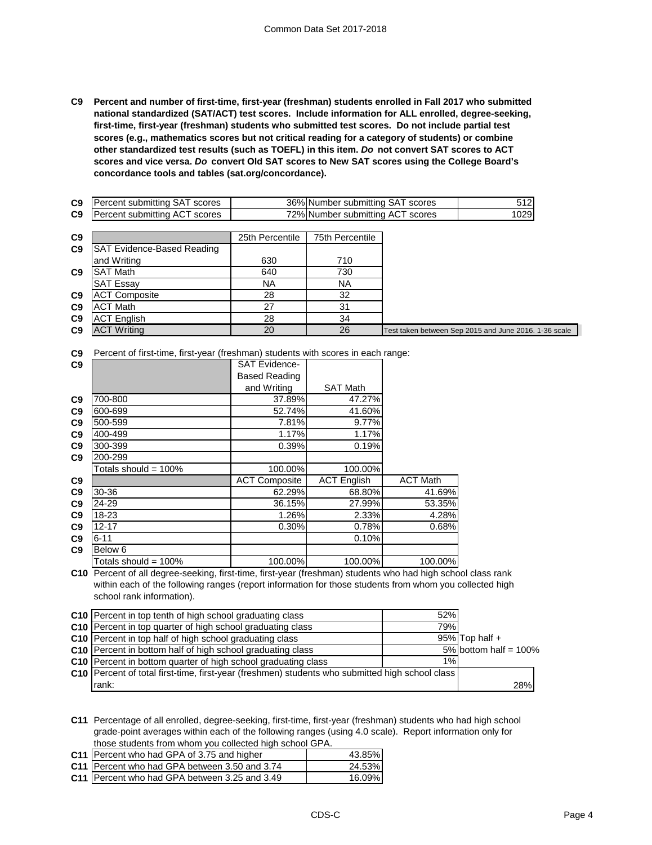**C9 Percent and number of first-time, first-year (freshman) students enrolled in Fall 2017 who submitted national standardized (SAT/ACT) test scores. Include information for ALL enrolled, degree-seeking, first-time, first-year (freshman) students who submitted test scores. Do not include partial test scores (e.g., mathematics scores but not critical reading for a category of students) or combine other standardized test results (such as TOEFL) in this item.** *Do* **not convert SAT scores to ACT scores and vice versa.** *Do* **convert Old SAT scores to New SAT scores using the College Board's concordance tools and tables (sat.org/concordance).**

| C9             | Percent submitting SAT scores     |                 | 36% Number submitting SAT scores | 512                                                   |
|----------------|-----------------------------------|-----------------|----------------------------------|-------------------------------------------------------|
| C9             | Percent submitting ACT scores     |                 | 72% Number submitting ACT scores | 1029                                                  |
|                |                                   |                 |                                  |                                                       |
| C9             |                                   | 25th Percentile | 75th Percentile                  |                                                       |
| C9             | <b>SAT Evidence-Based Reading</b> |                 |                                  |                                                       |
|                | and Writing                       | 630             | 710                              |                                                       |
| C <sub>9</sub> | <b>SAT Math</b>                   | 640             | 730                              |                                                       |
|                | <b>SAT Essay</b>                  | ΝA              | NА                               |                                                       |
| C9             | <b>ACT Composite</b>              | 28              | 32                               |                                                       |
| C9             | <b>ACT Math</b>                   | 27              | 31                               |                                                       |
| C9             | <b>ACT English</b>                | 28              | 34                               |                                                       |
| C <sub>9</sub> | <b>ACT Writing</b>                | 20              | 26                               | Test taken between Sep 2015 and June 2016. 1-36 scale |
|                |                                   |                 |                                  |                                                       |

**C9** Percent of first-time, first-year (freshman) students with scores in each range:

| C9             |                      | <b>SAT Evidence-</b> |                    |                 |
|----------------|----------------------|----------------------|--------------------|-----------------|
|                |                      | <b>Based Reading</b> |                    |                 |
|                |                      | and Writing          | <b>SAT Math</b>    |                 |
| C <sub>9</sub> | 700-800              | 37.89%               | 47.27%             |                 |
| C <sub>9</sub> | 600-699              | 52.74%               | 41.60%             |                 |
| C9             | 500-599              | 7.81%                | 9.77%              |                 |
| C9             | 400-499              | 1.17%                | 1.17%              |                 |
| C <sub>9</sub> | 300-399              | 0.39%                | 0.19%              |                 |
| C <sub>9</sub> | 200-299              |                      |                    |                 |
|                | Totals should = 100% | 100.00%              | 100.00%            |                 |
| C9             |                      | <b>ACT Composite</b> | <b>ACT English</b> | <b>ACT Math</b> |
| C9             | 30-36                | 62.29%               | 68.80%             | 41.69%          |
| C <sub>9</sub> | 24-29                | 36.15%               | 27.99%             | 53.35%          |
| C <sub>9</sub> | 18-23                | 1.26%                | 2.33%              | 4.28%           |
| C <sub>9</sub> | $12 - 17$            | 0.30%                | 0.78%              | 0.68%           |
| C <sub>9</sub> | $6 - 11$             |                      | 0.10%              |                 |
| C <sub>9</sub> | Below 6              |                      |                    |                 |
|                | Totals should = 100% | 100.00%              | 100.00%            | 100.00%         |

**C10** Percent of all degree-seeking, first-time, first-year (freshman) students who had high school class rank within each of the following ranges (report information for those students from whom you collected high school rank information).

| 52%<br>C10 Percent in top tenth of high school graduating class                                        |                          |
|--------------------------------------------------------------------------------------------------------|--------------------------|
| C10 Percent in top quarter of high school graduating class<br>79%                                      |                          |
| C10 Percent in top half of high school graduating class                                                | $95\%$ Top half +        |
| C10 Percent in bottom half of high school graduating class                                             | 5% bottom half = $100\%$ |
| $1\%$<br><b>C10</b> Percent in bottom quarter of high school graduating class                          |                          |
| <b>C10</b> Percent of total first-time, first-year (freshmen) students who submitted high school class |                          |
| rank:                                                                                                  | 28%                      |

**C11** Percentage of all enrolled, degree-seeking, first-time, first-year (freshman) students who had high school grade-point averages within each of the following ranges (using 4.0 scale). Report information only for those students from whom you collected high school GPA.

| C11 Percent who had GPA of 3.75 and higher      | 43.85% |
|-------------------------------------------------|--------|
| C11 Percent who had GPA between 3.50 and 3.74   | 24.53% |
| C11   Percent who had GPA between 3.25 and 3.49 | 16.09% |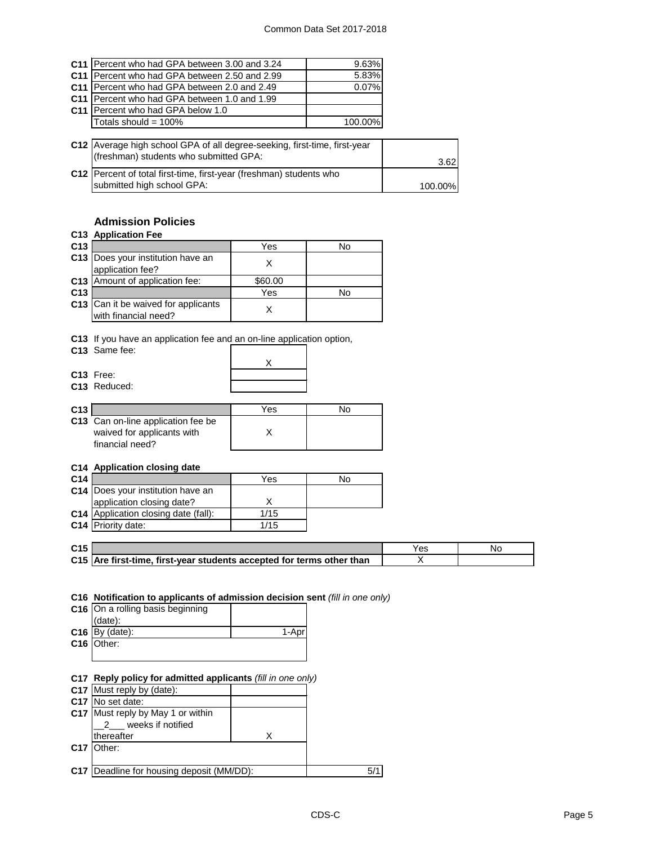| C11 Percent who had GPA between 3.00 and 3.24  | 9.63%   |
|------------------------------------------------|---------|
| C11 Percent who had GPA between 2.50 and 2.99  | 5.83%   |
| C11   Percent who had GPA between 2.0 and 2.49 | 0.07%   |
| C11   Percent who had GPA between 1.0 and 1.99 |         |
| C11 Percent who had GPA below 1.0              |         |
| Totals should = 100%                           | 100.00% |

| C12 Average high school GPA of all degree-seeking, first-time, first-year<br>(freshman) students who submitted GPA: | 3.62    |
|---------------------------------------------------------------------------------------------------------------------|---------|
| C12   Percent of total first-time, first-year (freshman) students who<br>submitted high school GPA:                 | 100.00% |

## **Admission Policies**

### **C13 Application Fee**

| C <sub>13</sub> |                                                             | Yes     | No |
|-----------------|-------------------------------------------------------------|---------|----|
|                 | C13 Does your institution have an<br>application fee?       |         |    |
|                 | C13 Amount of application fee:                              | \$60.00 |    |
| C <sub>13</sub> |                                                             | Yes     | No |
|                 | C13 Can it be waived for applicants<br>with financial need? |         |    |

**C13** If you have an application fee and an on-line application option,

| C13 Same fee: |  |
|---------------|--|
|               |  |

|  |   | arror mio applic |
|--|---|------------------|
|  |   |                  |
|  |   |                  |
|  | X |                  |
|  |   |                  |
|  |   |                  |
|  |   |                  |
|  |   |                  |
|  |   |                  |

|                 | C13 Free:<br>C <sub>13</sub> Reduced: |     |    |
|-----------------|---------------------------------------|-----|----|
| C <sub>13</sub> |                                       | Yes | N٥ |
|                 | C43 Can an line application foo he    |     |    |

| C13 Can on-line application fee be |  |
|------------------------------------|--|
| waived for applicants with         |  |
| financial need?                    |  |
|                                    |  |

### **C14 Application closing date**

| C <sub>14</sub> |                                             | Yes  | No |
|-----------------|---------------------------------------------|------|----|
|                 | C14 Does your institution have an           |      |    |
|                 | application closing date?                   |      |    |
|                 | <b>C14</b> Application closing date (fall): | 1/15 |    |
|                 | C14 Priority date:                          | 1/15 |    |

| C <sub>15</sub> |                                                                       |  |
|-----------------|-----------------------------------------------------------------------|--|
|                 | C15 Are first-time, first-year students accepted for terms other than |  |

## **C16 Notification to applicants of admission decision sent** *(fill in one only)*

| C16 On a rolling basis beginning |       |
|----------------------------------|-------|
| $(data)$ :                       |       |
| $C16$ By (date):                 | 1-Apr |
| C16 Other:                       |       |
|                                  |       |

## **C17 Reply policy for admitted applicants** *(fill in one only)*

| <b>C17</b> Must reply by (date):                 |     |
|--------------------------------------------------|-----|
| C17 No set date:                                 |     |
| C17 Must reply by May 1 or within                |     |
| weeks if notified                                |     |
| thereafter                                       |     |
| C17 Other:                                       |     |
|                                                  |     |
| <b>C17</b> Deadline for housing deposit (MM/DD): | 5/1 |